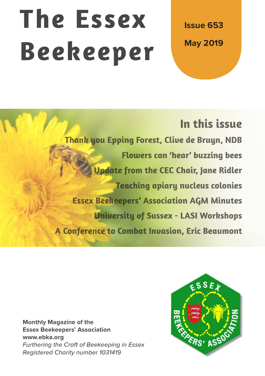# **The Essex Beekeeper**

**Issue 653 May 2019**

# **In this issue**

**Thank you Epping Forest, Clive de Bruyn, NDB Flowers can 'hear' buzzing bees Update from the CEC Chair, Jane Ridler Teaching apiary nucleus colonies Essex Beekeepers' Association AGM Minutes University of Sussex - LASI Workshops A Conference to Combat Invasion, Eric Beaumont**

**Monthly Magazine of the Essex Beekeepers' Association www.ebka.org** *Furthering the Craft of Beekeeping in Essex Registered Charity number 1031419*

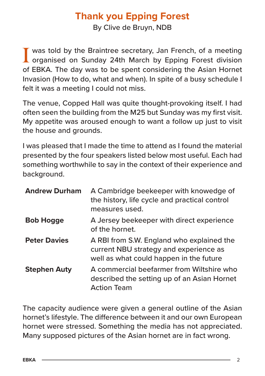## **Thank you Epping Forest**

By Clive de Bruyn, NDB

I was told by the Braintree secretary, Jan French, of a meeting<br>organised on Sunday 24th March by Epping Forest division of EBKA. The day was to be spent considering the Asian Hornet Invasion (How to do, what and when). In spite of a busy schedule I felt it was a meeting I could not miss.

The venue, Copped Hall was quite thought-provoking itself. I had often seen the building from the M25 but Sunday was my first visit. My appetite was aroused enough to want a follow up just to visit the house and grounds.

I was pleased that I made the time to attend as I found the material presented by the four speakers listed below most useful. Each had something worthwhile to say in the context of their experience and background.

| <b>Andrew Durham</b> | A Cambridge beekeeper with knowedge of<br>the history, life cycle and practical control<br>measures used.                      |
|----------------------|--------------------------------------------------------------------------------------------------------------------------------|
| <b>Bob Hogge</b>     | A Jersey beekeeper with direct experience<br>of the hornet.                                                                    |
| <b>Peter Davies</b>  | A RBI from S.W. England who explained the<br>current NBU strategy and experience as<br>well as what could happen in the future |
| <b>Stephen Auty</b>  | A commercial beefarmer from Wiltshire who<br>described the setting up of an Asian Hornet<br><b>Action Team</b>                 |

The capacity audience were given a general outline of the Asian hornet's lifestyle. The difference between it and our own European hornet were stressed. Something the media has not appreciated. Many supposed pictures of the Asian hornet are in fact wrong.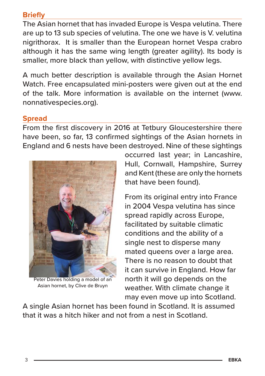#### **Briefly**

The Asian hornet that has invaded Europe is Vespa velutina. There are up to 13 sub species of velutina. The one we have is V. velutina nigrithorax. It is smaller than the European hornet Vespa crabro although it has the same wing length (greater agility). Its body is smaller, more black than yellow, with distinctive yellow legs.

A much better description is available through the Asian Hornet Watch. Free encapsulated mini-posters were given out at the end of the talk. More information is available on the internet (www. nonnativespecies.org).

#### **Spread**

From the first discovery in 2016 at Tetbury Gloucestershire there have been, so far, 13 confirmed sightings of the Asian hornets in England and 6 nests have been destroyed. Nine of these sightings



Peter Davies holding a model of an Asian hornet, by Clive de Bruyn

occurred last year; in Lancashire, Hull, Cornwall, Hampshire, Surrey and Kent (these are only the hornets that have been found).

From its original entry into France in 2004 Vespa velutina has since spread rapidly across Europe, facilitated by suitable climatic conditions and the ability of a single nest to disperse many mated queens over a large area. There is no reason to doubt that it can survive in England. How far north it will go depends on the weather. With climate change it may even move up into Scotland.

A single Asian hornet has been found in Scotland. It is assumed that it was a hitch hiker and not from a nest in Scotland.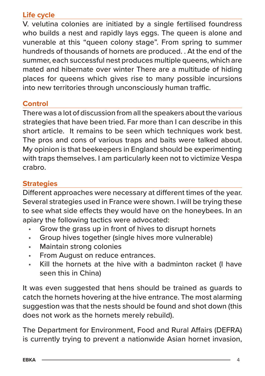#### **Life cycle**

V. velutina colonies are initiated by a single fertilised foundress who builds a nest and rapidly lays eggs. The queen is alone and vunerable at this "queen colony stage". From spring to summer hundreds of thousands of hornets are produced. . At the end of the summer, each successful nest produces multiple queens, which are mated and hibernate over winter There are a multitude of hiding places for queens which gives rise to many possible incursions into new territories through unconsciously human traffic.

#### **Control**

There was a lot of discussion from all the speakers about the various strategies that have been tried. Far more than I can describe in this short article. It remains to be seen which techniques work best. The pros and cons of various traps and baits were talked about. My opinion is that beekeepers in England should be experimenting with traps themselves. I am particularly keen not to victimize Vespa crabro.

#### **Strategies**

Different approaches were necessary at different times of the year. Several strategies used in France were shown. I will be trying these to see what side effects they would have on the honeybees. In an apiary the following tactics were advocated:

- Grow the grass up in front of hives to disrupt hornets
- Group hives together (single hives more vulnerable)
- Maintain strong colonies
- From August on reduce entrances.
- Kill the hornets at the hive with a badminton racket (I have seen this in China)

It was even suggested that hens should be trained as guards to catch the hornets hovering at the hive entrance. The most alarming suggestion was that the nests should be found and shot down (this does not work as the hornets merely rebuild).

The Department for Environment, Food and Rural Affairs (DEFRA) is currently trying to prevent a nationwide Asian hornet invasion,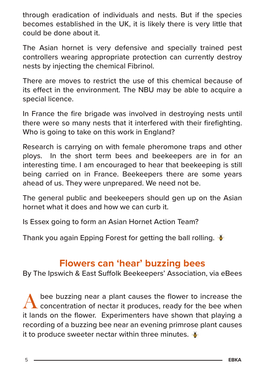through eradication of individuals and nests. But if the species becomes established in the UK, it is likely there is very little that could be done about it.

The Asian hornet is very defensive and specially trained pest controllers wearing appropriate protection can currently destroy nests by injecting the chemical Fibrinol.

There are moves to restrict the use of this chemical because of its effect in the environment. The NBU may be able to acquire a special licence.

In France the fire brigade was involved in destroying nests until there were so many nests that it interfered with their firefighting. Who is going to take on this work in England?

Research is carrying on with female pheromone traps and other ploys. In the short term bees and beekeepers are in for an interesting time. I am encouraged to hear that beekeeping is still being carried on in France. Beekeepers there are some years ahead of us. They were unprepared. We need not be.

The general public and beekeepers should gen up on the Asian hornet what it does and how we can curb it.

Is Essex going to form an Asian Hornet Action Team?

Thank you again Epping Forest for getting the ball rolling.

## **Flowers can 'hear' buzzing bees**

By The Ipswich & East Suffolk Beekeepers' Association, via eBees

bee buzzing near a plant causes the flower to increase the concentration of nectar it produces, ready for the bee when it lands on the flower. Experimenters have shown that playing a recording of a buzzing bee near an evening primrose plant causes it to produce sweeter nectar within three minutes.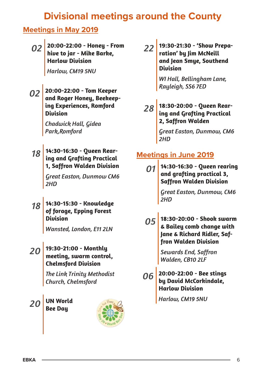# **Divisional meetings around the County**

#### **Meetings in May 2019**

*02* **20:00-22:00 - Honey - From hive to jar - Mike Barke, Harlow Division**

*Harlow, CM19 5NU*

*02* **20:00-22:00 - Tom Keeper and Roger Honey, Beekeeping Experiences, Romford Division**

> *Chadwick Hall, Gidea Park,Romford*

*18* **14:30-16:30 - Queen Rearing and Grafting Practical 1, Saffron Walden Division**

> *Great Easton, Dunmow CM6 2HD*

*18* **14:30-15:30 - Knowledge of forage, Epping Forest Division**

*Wansted, London, E11 2LN*

#### *20* **19:30-21:00 - Monthly meeting, swarm control, Chelmsford Division**

*The Link Trinity Methodist Church, Chelmsford*

#### *20* **UN World Bee Day**



*22* **19:30-21:30 - 'Show Preparation' by Jim McNeill and Jean Smye, Southend Division**

> *WI Hall, Bellingham Lane, Rayleigh, SS6 7ED*

*28* **18:30-20:00 - Queen Rear-ing and Grafting Practical 2, Saffron Walden**

> *Great Easton, Dunmow, CM6 2HD*

#### **Meetings in June 2019**

*01* **14:30-16:30 - Queen rearing and grafting practical 3, Saffron Walden Division**

> *Great Easton, Dunmow, CM6 2HD*

*05* **18:30-20:00 - Shook swarm & Bailey comb change with Jane & Richard Ridler, Saffron Walden Division**

> *Sewards End, Saffron Walden, CB10 2LF*

*06* **20:00-22:00 - Bee stings by David McCorkindale, Harlow Division**

*Harlow, CM19 5NU*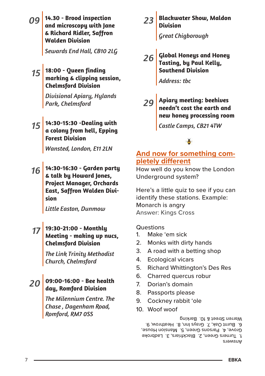|                | 14.30 - Brood inspection<br>and microscopy with Jane<br>& Richard Ridler, Saffron<br><b>Walden Division</b>             | 23 Blackwater Show, Maldon<br>Division<br>Great Chigborough                                                      |  |
|----------------|-------------------------------------------------------------------------------------------------------------------------|------------------------------------------------------------------------------------------------------------------|--|
|                | Sewards End Hall, CB10 2LG<br>15   18:00 - Queen finding<br>marking & clipping session,<br><b>Chelmsford Division</b>   | Global Honeys and Honey<br>Tasting, by Paul Kelly,<br>Southend Division<br>Address: tbc                          |  |
|                | Divisional Apiary, Hylands<br>Park, Chelmsford                                                                          | 29 Apiary meeting: beehives<br>needn't cost the earth and<br>new honey processing room                           |  |
| 15             | 14:30-15:30 -Dealing with<br>a colony from hell, Epping<br><b>Forest Division</b>                                       | Castle Camps, CB21 4TW                                                                                           |  |
|                | Wansted, London, E11 2LN                                                                                                | And now for something com-<br>pletely different                                                                  |  |
| 16             | 14:30-16:30 - Garden party<br>& talk by Howard Jones,<br><b>Project Manager, Orchards</b><br>East, Saffron Walden Divi- | How well do you know the London<br>Underground system?<br>Here's a little quiz to see if you can                 |  |
|                | sion<br>Little Easton, Dunmow                                                                                           | identify these stations. Example:<br>Monarch is angry<br><b>Answer: Kings Cross</b>                              |  |
|                | 19:30-21:00 - Monthly<br>Meeting - making up nucs,<br><b>Chelmsford Division</b>                                        | Questions<br>Make 'em sick<br>1.<br>2.<br>Monks with dirty hands                                                 |  |
|                | <b>The Link Trinity Methodist</b><br>Church, Chelmsford                                                                 | 3.<br>A road with a betting shop<br>4.<br><b>Ecological vicars</b><br>5.<br><b>Richard Whittington's Des Res</b> |  |
| 2 <sub>C</sub> | 09:00-16:00 - Bee health<br>day, Romford Division                                                                       | Charred quercus robur<br>6.<br>7.<br>Dorian's domain<br>8.<br>Passports please                                   |  |
|                | The Milennium Centre. The<br>Chase, Dagenham Road,                                                                      | 9.<br>Cockney rabbit 'ole<br>$10$ $M$ oof woof                                                                   |  |

10. Woof woof

Answers 1. Turners Green, 2. Blackfriars, 3. Ladbroke Grove, 4. Parsons Green, 5. Mansion House, 6. Burnt Oak, 7. Grays Inn, 8. Heathrow, 9. Warren Street & 10. Barking

*Romford, RM7 0SS*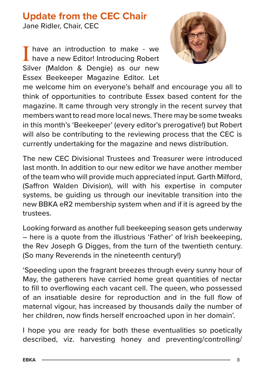# **Update from the CEC Chair**

Jane Ridler, Chair, CEC

I have an introduction to make - we have a new Editor! Introducing Robert Silver (Maldon & Dengie) as our new Essex Beekeeper Magazine Editor. Let



me welcome him on everyone's behalf and encourage you all to think of opportunities to contribute Essex based content for the magazine. It came through very strongly in the recent survey that members want to read more local news. There may be some tweaks in this month's 'Beekeeper' (every editor's prerogative!) but Robert will also be contributing to the reviewing process that the CEC is currently undertaking for the magazine and news distribution.

The new CEC Divisional Trustees and Treasurer were introduced last month. In addition to our new editor we have another member of the team who will provide much appreciated input. Garth Milford, (Saffron Walden Division), will with his expertise in computer systems, be guiding us through our inevitable transition into the new BBKA eR2 membership system when and if it is agreed by the trustees.

Looking forward as another full beekeeping season gets underway – here is a quote from the illustrious 'Father' of Irish beekeeping, the Rev Joseph G Digges, from the turn of the twentieth century. (So many Reverends in the nineteenth century!)

'Speeding upon the fragrant breezes through every sunny hour of May, the gatherers have carried home great quantities of nectar to fill to overflowing each vacant cell. The queen, who possessed of an insatiable desire for reproduction and in the full flow of maternal vigour, has increased by thousands daily the number of her children, now finds herself encroached upon in her domain'.

I hope you are ready for both these eventualities so poetically described, viz. harvesting honey and preventing/controlling/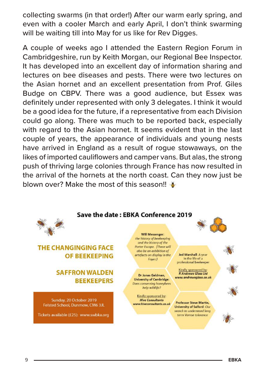collecting swarms (in that order!) After our warm early spring, and even with a cooler March and early April, I don't think swarming will be waiting till into May for us like for Rev Digges.

A couple of weeks ago I attended the Eastern Region Forum in Cambridgeshire, run by Keith Morgan, our Regional Bee Inspector. It has developed into an excellent day of information sharing and lectures on bee diseases and pests. There were two lectures on the Asian hornet and an excellent presentation from Prof. Giles Budge on CBPV. There was a good audience, but Essex was definitely under represented with only 3 delegates. I think it would be a good idea for the future, if a representative from each Division could go along. There was much to be reported back, especially with regard to the Asian hornet. It seems evident that in the last couple of years, the appearance of individuals and young nests have arrived in England as a result of rogue stowaways, on the likes of imported cauliflowers and camper vans. But alas, the strong push of thriving large colonies through France has now resulted in the arrival of the hornets at the north coast. Can they now just be blown over? Make the most of this season!!

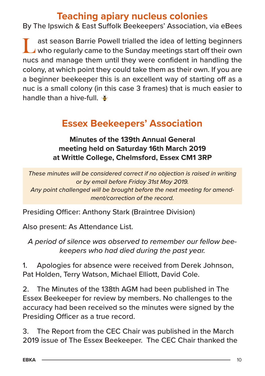### **Teaching apiary nucleus colonies**

By The Ipswich & East Suffolk Beekeepers' Association, via eBees

**Last season Barrie Powell trialled the idea of letting beginners**<br>who regularly came to the Sunday meetings start off their own nucs and manage them until they were confident in handling the colony, at which point they could take them as their own. If you are a beginner beekeeper this is an excellent way of starting off as a nuc is a small colony (in this case 3 frames) that is much easier to handle than a hive-full.

# **Essex Beekeepers' Association**

**Minutes of the 139th Annual General meeting held on Saturday 16th March 2019 at Writtle College, Chelmsford, Essex CM1 3RP**

*These minutes will be considered correct if no objection is raised in writing or by email before Friday 31st May 2019. Any point challenged will be brought before the next meeting for amendment/correction of the record.*

Presiding Officer: Anthony Stark (Braintree Division)

Also present: As Attendance List.

*A period of silence was observed to remember our fellow beekeepers who had died during the past year.*

1. Apologies for absence were received from Derek Johnson, Pat Holden, Terry Watson, Michael Elliott, David Cole.

2. The Minutes of the 138th AGM had been published in The Essex Beekeeper for review by members. No challenges to the accuracy had been received so the minutes were signed by the Presiding Officer as a true record.

3. The Report from the CEC Chair was published in the March 2019 issue of The Essex Beekeeper. The CEC Chair thanked the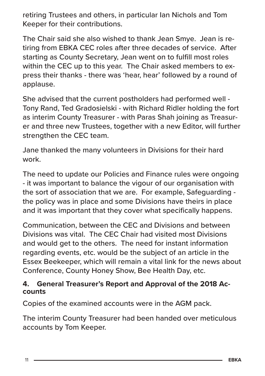retiring Trustees and others, in particular Ian Nichols and Tom Keeper for their contributions.

The Chair said she also wished to thank Jean Smye. Jean is retiring from EBKA CEC roles after three decades of service. After starting as County Secretary, Jean went on to fulfill most roles within the CEC up to this year. The Chair asked members to express their thanks - there was 'hear, hear' followed by a round of applause.

She advised that the current postholders had performed well - Tony Rand, Ted Gradosielski - with Richard Ridler holding the fort as interim County Treasurer - with Paras Shah joining as Treasurer and three new Trustees, together with a new Editor, will further strengthen the CEC team.

Jane thanked the many volunteers in Divisions for their hard work.

The need to update our Policies and Finance rules were ongoing - it was important to balance the vigour of our organisation with the sort of association that we are. For example, Safeguarding the policy was in place and some Divisions have theirs in place and it was important that they cover what specifically happens.

Communication, between the CEC and Divisions and between Divisions was vital. The CEC Chair had visited most Divisions and would get to the others. The need for instant information regarding events, etc. would be the subject of an article in the Essex Beekeeper, which will remain a vital link for the news about Conference, County Honey Show, Bee Health Day, etc.

# **4. General Treasurer's Report and Approval of the 2018 Ac- counts**

Copies of the examined accounts were in the AGM pack.

The interim County Treasurer had been handed over meticulous accounts by Tom Keeper.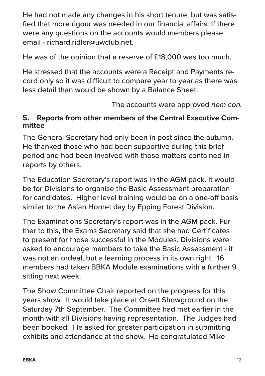He had not made any changes in his short tenure, but was satisfied that more rigour was needed in our financial affairs. If there were any questions on the accounts would members please email - richard ridler@uwclub.net

He was of the opinion that a reserve of £18,000 was too much.

He stressed that the accounts were a Receipt and Payments record only so it was difficult to compare year to year as there was less detail than would be shown by a Balance Sheet.

The accounts were approved *nem con.*

#### **5. Reports from other members of the Central Executive Committee**

The General Secretary had only been in post since the autumn. He thanked those who had been supportive during this brief period and had been involved with those matters contained in reports by others.

The Education Secretary's report was in the AGM pack. It would be for Divisions to organise the Basic Assessment preparation for candidates. Higher level training would be on a one-off basis similar to the Asian Hornet day by Epping Forest Division.

The Examinations Secretary's report was in the AGM pack. Further to this, the Exams Secretary said that she had Certificates to present for those successful in the Modules. Divisions were asked to encourage members to take the Basic Assessment - it was not an ordeal, but a learning process in its own right. 16 members had taken BBKA Module examinations with a further 9 sitting next week.

The Show Committee Chair reported on the progress for this years show. It would take place at Orsett Showground on the Saturday 7th September. The Committee had met earlier in the month with all Divisions having representation. The Judges had been booked. He asked for greater participation in submitting exhibits and attendance at the show, He congratulated Mike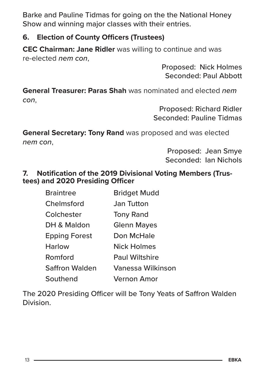Barke and Pauline Tidmas for going on the the National Honey Show and winning major classes with their entries.

#### **6. Election of County Officers (Trustees)**

**CEC Chairman: Jane Ridler** was willing to continue and was re-elected *nem con*,

> Proposed: Nick Holmes Seconded: Paul Abbott

**General Treasurer: Paras Shah** was nominated and elected *nem con*,

> Proposed: Richard Ridler Seconded: Pauline Tidmas

**General Secretary: Tony Rand** was proposed and was elected *nem con*,

> Proposed: Jean Smye Seconded: Ian Nichols

#### **7. Notification of the 2019 Divisional Voting Members (Trustees) and 2020 Presiding Officer**

| <b>Braintree</b>     | <b>Bridget Mudd</b>      |
|----------------------|--------------------------|
| Chelmsford           | Jan Tutton               |
| Colchester           | <b>Tony Rand</b>         |
| DH & Maldon          | <b>Glenn Mayes</b>       |
| <b>Epping Forest</b> | Don McHale               |
| <b>Harlow</b>        | <b>Nick Holmes</b>       |
| Romford              | <b>Paul Wiltshire</b>    |
| Saffron Walden       | <b>Vanessa Wilkinson</b> |
| Southend             | Vernon Amor              |

The 2020 Presiding Officer will be Tony Yeats of Saffron Walden Division.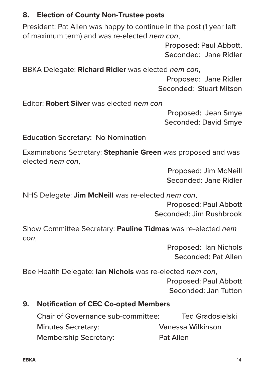#### **8. Election of County Non-Trustee posts**

President: Pat Allen was happy to continue in the post (1 year left of maximum term) and was re-elected *nem con*,

> Proposed: Paul Abbott, Seconded: Jane Ridler

BBKA Delegate: **Richard Ridler** was elected *nem con*,

Proposed: Jane Ridler Seconded: Stuart Mitson

Editor: **Robert Silver** was elected *nem con*

Proposed: Jean Smye Seconded: David Smye

Education Secretary: No Nomination

Examinations Secretary: **Stephanie Green** was proposed and was elected *nem con*,

> Proposed: Jim McNeill Seconded: Jane Ridler

NHS Delegate: **Jim McNeill** was re-elected *nem con*,

Proposed: Paul Abbott Seconded: Jim Rushbrook

Show Committee Secretary: **Pauline Tidmas** was re-elected *nem con*,

> Proposed: Ian Nichols Seconded: Pat Allen

Bee Health Delegate: **Ian Nichols** was re-elected *nem con*,

Proposed: Paul Abbott Seconded: Jan Tutton

#### **9. Notification of CEC Co-opted Members**

| <b>Chair of Governance sub-committee:</b> | <b>Ted Gradosielski</b> |
|-------------------------------------------|-------------------------|
| <b>Minutes Secretary:</b>                 | Vanessa Wilkinson       |
| <b>Membership Secretary:</b>              | Pat Allen               |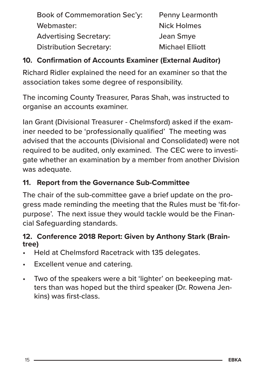Book of Commemoration Sec'y: Penny Learmonth Webmaster: Nick Holmes Advertising Secretary: Jean Smye Distribution Secretary: Michael Elliott

#### **10. Confirmation of Accounts Examiner (External Auditor)**

Richard Ridler explained the need for an examiner so that the association takes some degree of responsibility.

The incoming County Treasurer, Paras Shah, was instructed to organise an accounts examiner.

Ian Grant (Divisional Treasurer - Chelmsford) asked if the examiner needed to be 'professionally qualified' The meeting was advised that the accounts (Divisional and Consolidated) were not required to be audited, only examined. The CEC were to investigate whether an examination by a member from another Division was adequate.

#### **11. Report from the Governance Sub-Committee**

The chair of the sub-committee gave a brief update on the progress made reminding the meeting that the Rules must be 'fit-forpurpose'. The next issue they would tackle would be the Financial Safeguarding standards.

# **12. Conference 2018 Report: Given by Anthony Stark (Brain- tree)**

- Held at Chelmsford Racetrack with 135 delegates.
- Excellent venue and catering.
- Two of the speakers were a bit 'lighter' on beekeeping matters than was hoped but the third speaker (Dr. Rowena Jenkins) was first-class.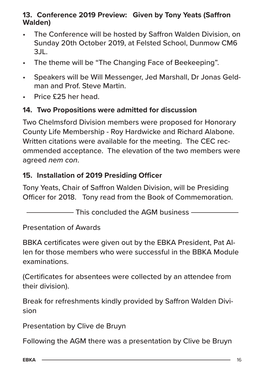#### **13. Conference 2019 Preview: Given by Tony Yeats (Saffron Walden)**

- The Conference will be hosted by Saffron Walden Division, on Sunday 20th October 2019, at Felsted School, Dunmow CM6 3JL.
- The theme will be "The Changing Face of Beekeeping".
- Speakers will be Will Messenger, Jed Marshall, Dr Jonas Geldman and Prof. Steve Martin.
- Price £25 her head.

#### **14. Two Propositions were admitted for discussion**

Two Chelmsford Division members were proposed for Honorary County Life Membership - Roy Hardwicke and Richard Alabone. Written citations were available for the meeting. The CEC recommended acceptance. The elevation of the two members were agreed *nem con*.

#### **15. Installation of 2019 Presiding Officer**

Tony Yeats, Chair of Saffron Walden Division, will be Presiding Officer for 2018. Tony read from the Book of Commemoration.

- This concluded the AGM business -

Presentation of Awards

BBKA certificates were given out by the EBKA President, Pat Allen for those members who were successful in the BBKA Module examinations.

(Certificates for absentees were collected by an attendee from their division).

Break for refreshments kindly provided by Saffron Walden Division

Presentation by Clive de Bruyn

Following the AGM there was a presentation by Clive be Bruyn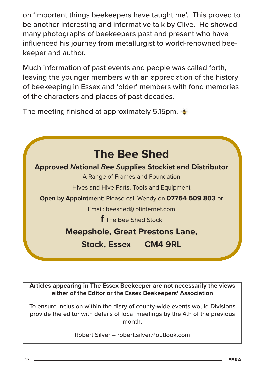on 'Important things beekeepers have taught me'. This proved to be another interesting and informative talk by Clive. He showed many photographs of beekeepers past and present who have influenced his journey from metallurgist to world-renowned beekeeper and author.

Much information of past events and people was called forth, leaving the younger members with an appreciation of the history of beekeeping in Essex and 'older' members with fond memories of the characters and places of past decades.

The meeting finished at approximately 5.15pm.  $\bullet$ 



**Articles appearing in The Essex Beekeeper are not necessarily the views either of the Editor or the Essex Beekeepers' Association**

To ensure inclusion within the diary of county-wide events would Divisions provide the editor with details of local meetings by the 4th of the previous month.

Robert Silver – robert.silver@outlook.com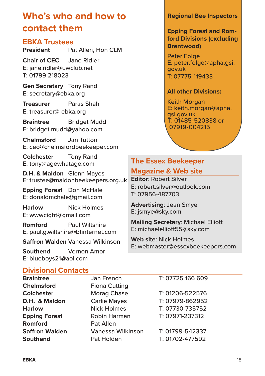# **Who's who and how to contact them**

# **EBKA Trustees**<br>**President** Pa

Pat Allen, Hon CLM

**Chair of CEC** Jane Ridler E: jane.ridler@uwclub.net T: 01799 218023

**Gen Secretary** Tony Rand E: secretary@ebka.org

**Treasurer** Paras Shah E: treasurer@ ebka.org

**Braintree** Bridget Mudd E: bridget.mudd@yahoo.com

**Chelmsford** Jan Tutton E: cec@chelmsfordbeekeeper.com

**Colchester** Tony Rand E: tony@agewhatage.com

**D.H. & Maldon** Glenn Mayes E: trustee@maldonbeekeepers.org.uk

**Epping Forest** Don McHale E: donaldmchale@gmail.com

**Harlow** Nick Holmes E: wwwcight@gmail.com

**Romford** Paul Wiltshire E: paul.g.wiltshire@btinternet.com

**Saffron Walden** Vanessa Wilkinson

**Southend** Vernon Amor E: blueboys21@aol.com

#### **Regional Bee Inspectors**

**Epping Forest and Romford Divisions (excluding Brentwood)**

Peter Folge E: peter.folge@apha.gsi. gov.uk T: 07775-119433

#### **All other Divisions:**

Keith Morgan E: keith.morgan@apha. gsi.gov.uk T: 01485-520838 or 07919-004215

# **The Essex Beekeeper**

#### **Magazine & Web site**

**Editor**: Robert Silver E: robert.silver@outlook.com T: 07956-487703

**Advertising**: Jean Smye E: jsmye@sky.com

**Mailing Secretary**: Michael Elliott E: michaelelliott55@sky.com

**Web site**: Nick Holmes E: webmaster@essexbeekeepers.com

# **Divisional Contacts**

| Braintree            |
|----------------------|
| Chelmsford           |
| <b>Colchester</b>    |
| D.H. & Maldon        |
| <b>Harlow</b>        |
| <b>Epping Forest</b> |
| Romford              |
| Saffron Walden       |
| <b>Southend</b>      |
|                      |

**Fiona Cutting Nick Holmes** T: 07730-735752 **Epping Forest** Robin Harman T: 07971-237312 **Pat Allen Saffron Walden** Vanessa Wilkinson T: 01799-542337

**Jan French T: 07725 166 609 Colchester** Morag Chase T: 01206-522576 **D.H. & Maldon** Carlie Mayes T: 07979-862952

Pat Holden T: 01702-477592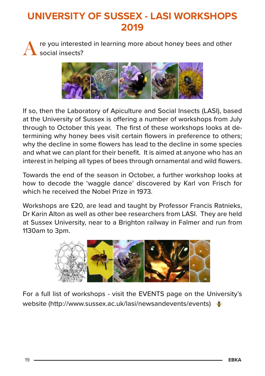# **UNIVERSITY OF SUSSEX - LASI WORKSHOPS 2019**

re you interested in learning more about honey bees and other social insects?



If so, then the Laboratory of Apiculture and Social Insects (LASI), based at the University of Sussex is offering a number of workshops from July through to October this year. The first of these workshops looks at determining why honey bees visit certain flowers in preference to others; why the decline in some flowers has lead to the decline in some species and what we can plant for their benefit. It is aimed at anyone who has an interest in helping all types of bees through ornamental and wild flowers.

Towards the end of the season in October, a further workshop looks at how to decode the 'waggle dance' discovered by Karl von Frisch for which he received the Nobel Prize in 1973

Workshops are £20, are lead and taught by Professor Francis Ratnieks, Dr Karin Alton as well as other bee researchers from LASI. They are held at Sussex University, near to a Brighton railway in Falmer and run from 1130am to 3pm.



For a full list of workshops - visit the EVENTS page on the University's website (http://www.sussex.ac.uk/lasi/newsandevents/events)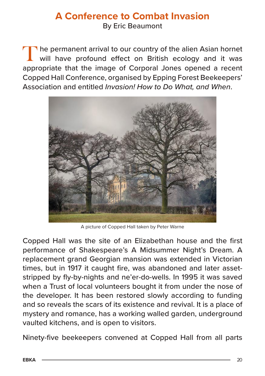# **A Conference to Combat Invasion**

By Eric Beaumont

The permanent arrival to our country of the alien Asian hornet will have profound effect on British ecology and it was appropriate that the image of Corporal Jones opened a recent Copped Hall Conference, organised by Epping Forest Beekeepers' Association and entitled *Invasion! How to Do What, and When*.



A picture of Copped Hall taken by Peter Warne

Copped Hall was the site of an Elizabethan house and the first performance of Shakespeare's A Midsummer Night's Dream. A replacement grand Georgian mansion was extended in Victorian times, but in 1917 it caught fire, was abandoned and later assetstripped by fly-by-nights and ne'er-do-wells. In 1995 it was saved when a Trust of local volunteers bought it from under the nose of the developer. It has been restored slowly according to funding and so reveals the scars of its existence and revival. It is a place of mystery and romance, has a working walled garden, underground vaulted kitchens, and is open to visitors.

Ninety-five beekeepers convened at Copped Hall from all parts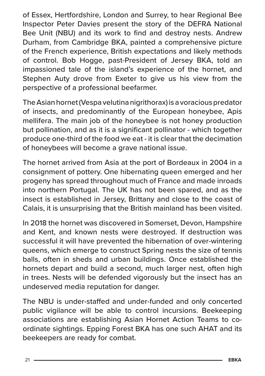of Essex, Hertfordshire, London and Surrey, to hear Regional Bee Inspector Peter Davies present the story of the DEFRA National Bee Unit (NBU) and its work to find and destroy nests. Andrew Durham, from Cambridge BKA, painted a comprehensive picture of the French experience, British expectations and likely methods of control. Bob Hogge, past-President of Jersey BKA, told an impassioned tale of the island's experience of the hornet, and Stephen Auty drove from Exeter to give us his view from the perspective of a professional beefarmer.

The Asian hornet (Vespa velutina nigrithorax) is a voracious predator of insects, and predominantly of the European honeybee, Apis mellifera. The main job of the honeybee is not honey production but pollination, and as it is a significant pollinator - which together produce one-third of the food we eat - it is clear that the decimation of honeybees will become a grave national issue.

The hornet arrived from Asia at the port of Bordeaux in 2004 in a consignment of pottery. One hibernating queen emerged and her progeny has spread throughout much of France and made inroads into northern Portugal. The UK has not been spared, and as the insect is established in Jersey, Brittany and close to the coast of Calais, it is unsurprising that the British mainland has been visited.

In 2018 the hornet was discovered in Somerset, Devon, Hampshire and Kent, and known nests were destroyed. If destruction was successful it will have prevented the hibernation of over-wintering queens, which emerge to construct Spring nests the size of tennis balls, often in sheds and urban buildings. Once established the hornets depart and build a second, much larger nest, often high in trees. Nests will be defended vigorously but the insect has an undeserved media reputation for danger.

The NBU is under-staffed and under-funded and only concerted public vigilance will be able to control incursions. Beekeeping associations are establishing Asian Hornet Action Teams to coordinate sightings. Epping Forest BKA has one such AHAT and its beekeepers are ready for combat.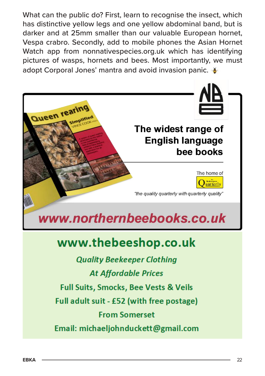What can the public do? First, learn to recognise the insect, which has distinctive yellow legs and one yellow abdominal band, but is darker and at 25mm smaller than our valuable European hornet, Vespa crabro. Secondly, add to mobile phones the Asian Hornet Watch app from nonnativespecies.org.uk which has identifying pictures of wasps, hornets and bees. Most importantly, we must adopt Corporal Jones' mantra and avoid invasion panic.



# www.thebeeshop.co.uk

**Quality Beekeeper Clothing At Affordable Prices Full Suits, Smocks, Bee Vests & Veils** Full adult suit - £52 (with free postage) **From Somerset** Email: michaeljohnduckett@gmail.com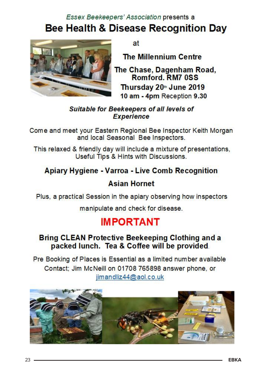Essex Beekeepers' Association presents a

# Bee Health & Disease Recognition Day



 $at$ 

**The Millennium Centre** 

The Chase, Dagenham Road, Romford, RM7 0SS Thursday 20th June 2019 10 am - 4pm Reception 9.30

Suitable for Beekeepers of all levels of **Experience** 

Come and meet your Eastern Regional Bee Inspector Keith Morgan and local Seasonal Bee Inspectors.

This relaxed & friendly day will include a mixture of presentations, Useful Tips & Hints with Discussions.

#### Apiary Hygiene - Varroa - Live Comb Recognition

#### **Asian Hornet**

Plus, a practical Session in the apiary observing how inspectors

manipulate and check for disease.

# **IMPORTANT**

#### Bring CLEAN Protective Beekeeping Clothing and a packed lunch. Tea & Coffee will be provided.

Pre Booking of Places is Essential as a limited number available Contact; Jim McNeill on 01708 765898 answer phone, or iimandliz44@aol.co.uk